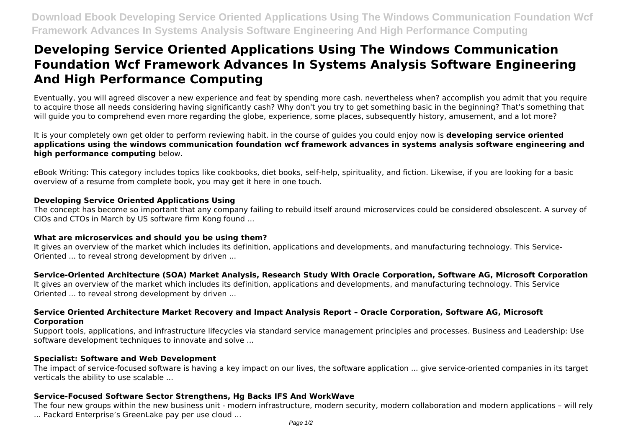# **Developing Service Oriented Applications Using The Windows Communication Foundation Wcf Framework Advances In Systems Analysis Software Engineering And High Performance Computing**

Eventually, you will agreed discover a new experience and feat by spending more cash. nevertheless when? accomplish you admit that you require to acquire those all needs considering having significantly cash? Why don't you try to get something basic in the beginning? That's something that will guide you to comprehend even more regarding the globe, experience, some places, subsequently history, amusement, and a lot more?

It is your completely own get older to perform reviewing habit. in the course of guides you could enjoy now is **developing service oriented applications using the windows communication foundation wcf framework advances in systems analysis software engineering and high performance computing** below.

eBook Writing: This category includes topics like cookbooks, diet books, self-help, spirituality, and fiction. Likewise, if you are looking for a basic overview of a resume from complete book, you may get it here in one touch.

# **Developing Service Oriented Applications Using**

The concept has become so important that any company failing to rebuild itself around microservices could be considered obsolescent. A survey of CIOs and CTOs in March by US software firm Kong found ...

### **What are microservices and should you be using them?**

It gives an overview of the market which includes its definition, applications and developments, and manufacturing technology. This Service-Oriented ... to reveal strong development by driven ...

# **Service-Oriented Architecture (SOA) Market Analysis, Research Study With Oracle Corporation, Software AG, Microsoft Corporation**

It gives an overview of the market which includes its definition, applications and developments, and manufacturing technology. This Service Oriented ... to reveal strong development by driven ...

# **Service Oriented Architecture Market Recovery and Impact Analysis Report – Oracle Corporation, Software AG, Microsoft Corporation**

Support tools, applications, and infrastructure lifecycles via standard service management principles and processes. Business and Leadership: Use software development techniques to innovate and solve ...

### **Specialist: Software and Web Development**

The impact of service-focused software is having a key impact on our lives, the software application ... give service-oriented companies in its target verticals the ability to use scalable ...

# **Service-Focused Software Sector Strengthens, Hg Backs IFS And WorkWave**

The four new groups within the new business unit - modern infrastructure, modern security, modern collaboration and modern applications – will rely ... Packard Enterprise's GreenLake pay per use cloud ...